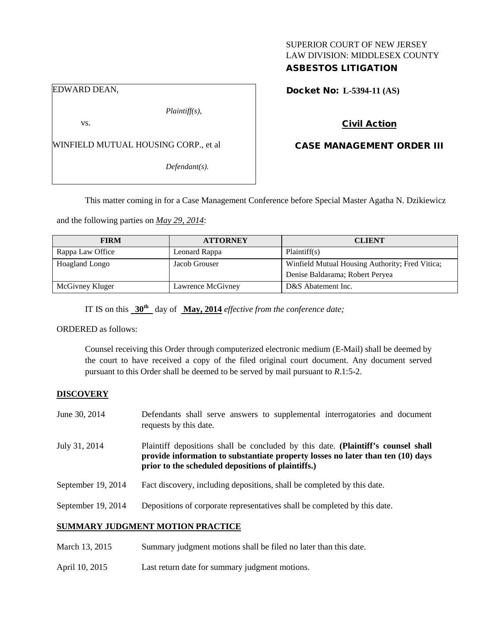## SUPERIOR COURT OF NEW JERSEY LAW DIVISION: MIDDLESEX COUNTY ASBESTOS LITIGATION

### EDWARD DEAN,

*Plaintiff(s),*

vs.

WINFIELD MUTUAL HOUSING CORP., et al

*Defendant(s).*

Docket No: **L-5394-11 (AS)** 

### Civil Action

## CASE MANAGEMENT ORDER III

This matter coming in for a Case Management Conference before Special Master Agatha N. Dzikiewicz

and the following parties on *May 29, 2014*:

| <b>FIRM</b>      | <b>ATTORNEY</b>   | <b>CLIENT</b>                                   |
|------------------|-------------------|-------------------------------------------------|
| Rappa Law Office | Leonard Rappa     | Plaintiff(s)                                    |
| Hoagland Longo   | Jacob Grouser     | Winfield Mutual Housing Authority; Fred Vitica; |
|                  |                   | Denise Baldarama; Robert Peryea                 |
| McGivney Kluger  | Lawrence McGivney | D&S Abatement Inc.                              |

IT IS on this **30th** day of **May, 2014** *effective from the conference date;*

ORDERED as follows:

Counsel receiving this Order through computerized electronic medium (E-Mail) shall be deemed by the court to have received a copy of the filed original court document. Any document served pursuant to this Order shall be deemed to be served by mail pursuant to *R*.1:5-2.

### **DISCOVERY**

| June 30, 2014                | Defendants shall serve answers to supplemental interrogatories and document<br>requests by this date.                                                                                                                        |  |
|------------------------------|------------------------------------------------------------------------------------------------------------------------------------------------------------------------------------------------------------------------------|--|
| July 31, 2014                | Plaintiff depositions shall be concluded by this date. (Plaintiff's counsel shall<br>provide information to substantiate property losses no later than ten $(10)$ days<br>prior to the scheduled depositions of plaintiffs.) |  |
| September 19, 2014           | Fact discovery, including depositions, shall be completed by this date.                                                                                                                                                      |  |
| September 19, 2014           | Depositions of corporate representatives shall be completed by this date.                                                                                                                                                    |  |
|                              | SUMMARY JUDGMENT MOTION PRACTICE                                                                                                                                                                                             |  |
| $M$ <sub>oro</sub> $12.2015$ | Summary indomant motions shall be filed no later than this data                                                                                                                                                              |  |

- March 13, 2015 Summary judgment motions shall be filed no later than this date.
- April 10, 2015 Last return date for summary judgment motions.